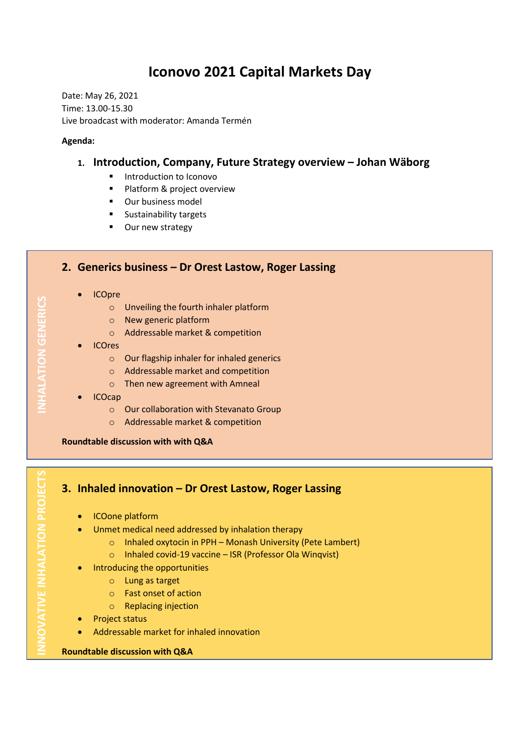# **Iconovo 2021 Capital Markets Day**

Date: May 26, 2021 Time: 13.00-15.30 Live broadcast with moderator: Amanda Termén

#### **Agenda:**

### **1. Introduction, Company, Future Strategy overview – Johan Wäborg**

- Introduction to Iconovo
- Platform & project overview
- Our business model
- Sustainability targets
- Our new strategy

#### **2. Generics business – Dr Orest Lastow, Roger Lassing**

- ICOpre
	- o Unveiling the fourth inhaler platform
	- o New generic platform
	- o Addressable market & competition
- ICOres
	- o Our flagship inhaler for inhaled generics
	- o Addressable market and competition
	- o Then new agreement with Amneal
- ICOcap
	- o Our collaboration with Stevanato Group
	- o Addressable market & competition

**Roundtable discussion with with Q&A** 

## **3. Inhaled innovation – Dr Orest Lastow, Roger Lassing**

- ICOone platform
- Unmet medical need addressed by inhalation therapy
	- o Inhaled oxytocin in PPH Monash University (Pete Lambert)
	- o Inhaled covid-19 vaccine ISR (Professor Ola Winqvist)
- Introducing the opportunities
	- o Lung as target
	- o Fast onset of action
	- o Replacing injection
- Project status
- Addressable market for inhaled innovation

#### **Roundtable discussion with Q&A**

**NHALATION GENERICS INNOVATIVE INHALATION PROJECTS INHALATION GENERICS**

NOVATIVE INHALATION PROJECTS